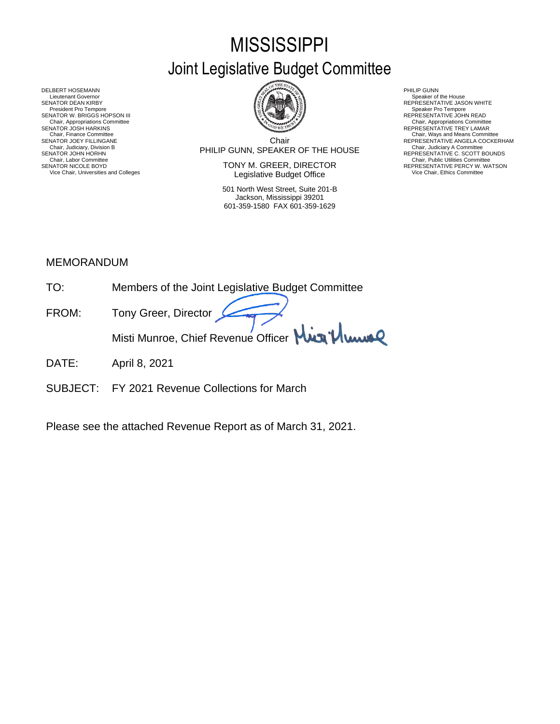# **MISSISSIPPI** Joint Legislative Budget Committee



DELBERT HOSEMANN PHILIP GUNN<br>Lieutenant Governor Speaker of Speaker of Speaker of Speaker of Speaker of Speaker of Speaker of Speaker of Sp Lieutenant Governor Speaker of the House (Seaker of the House Speaker of the House Speaker of the House Speaker of the House Speaker of the House Speaker of the House Speaker of the House Speaker of the House Speaker of th SENATOR DEAN KIRBY GERATOR DEAN KIRBY AND REPRESENTATIVE JASON WHITE<br>President Pro Tempore Speaker Pro Tempore Speaker Pro Tempore SENATOR W. BRIGGS HOPSON III READ AND READ AND REPRESENTATIVE JOHN READ Chair, Appropriations Committee<br>SENATOR JOSH HARKINS<br>Chair, Finance Committee Chair, Finance Committee Chair, Ways and Means Committee Chair, Ways and Means Committee Chair, Ways and Means Committee Chair Chair Chair Chair Chair Chair Chair Chair Chair Chair Chair Chair Chair Chair Chair Chair Chair

Chair PHILIP GUNN, SPEAKER OF THE HOUSE Chair, Judiciary, Division B Chair, Judiciary A Committee SENATOR JOEY FILLINGANE SERES ANGELA COCKERHAM THE CHILING CHAIR COLLECTION CHAIR COLLECTION CONTINUE ANGELA COCKERHAM CHAIR, JUDICAL ANGELA COCKERHAM CHAIR, JUDICAL ANGELA COCKERHAM CHAIR, JUDICAL ANGELA COLLECTION COMMET

SENATOR NICOLE BOYD **SENATOR IN TONY M. GREER, DIRECTOR** REPRESENTATIVE PERCY W. WATSON Vice Chair, Universities and Colleges **Network Constructed Constructed Constructer** Vice Chair, Ethics Committee

> 501 North West Street, Suite 201-B Jackson, Mississippi 39201 601-359-1580 FAX 601-359-1629

- 
- 
- Chair, Appropriations Committee<br>REPRESENTATIVE TREY LAMAR
- 
- SENATOR JOHN HORHN COMMENTATIVE C. SCOTT BOUNDS<br>Chair, Labor Committee Chair, Public Utilities Committee Committee Committee Committee Committee Committee Committee

#### MEMORANDUM

- TO: Members of the Joint Legislative Budget Committee
- FROM: Tony Greer, Director Misti Munroe, Chief Revenue Officer Mun<sup>1</sup>/ Www
- DATE: April 8, 2021
- SUBJECT: FY 2021 Revenue Collections for March

Please see the attached Revenue Report as of March 31, 2021.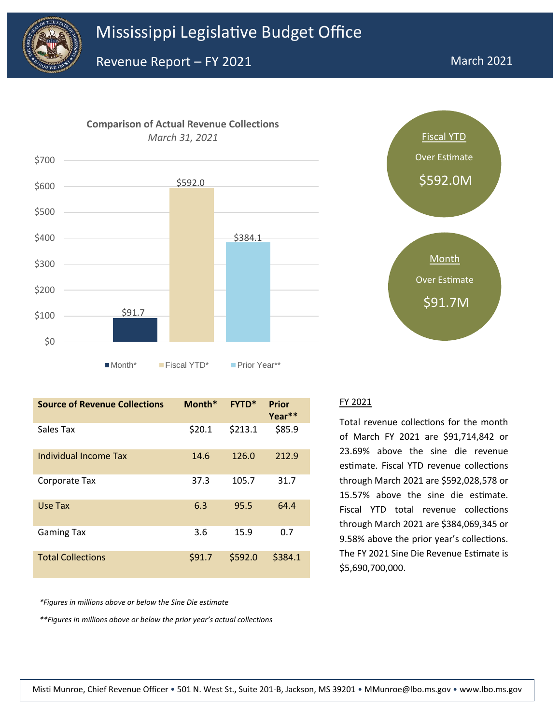





| <b>Source of Revenue Collections</b> | Month* | <b>FYTD*</b> | Prior<br>Year** |
|--------------------------------------|--------|--------------|-----------------|
| Sales Tax                            | \$20.1 | \$213.1      | \$85.9          |
| Individual Income Tax                | 14.6   | 126.0        | 212.9           |
| Corporate Tax                        | 37.3   | 105.7        | 31.7            |
| Use Tax                              | 6.3    | 95.5         | 64.4            |
| <b>Gaming Tax</b>                    | 3.6    | 15.9         | 0.7             |
| <b>Total Collections</b>             | \$91.7 | \$592.0      | \$384.1         |

*\*Figures in millions above or below the Sine Die estimate*

*\*\*Figures in millions above or below the prior year's actual collections*

#### FY 2021

Total revenue collections for the month of March FY 2021 are \$91,714,842 or 23.69% above the sine die revenue estimate. Fiscal YTD revenue collections through March 2021 are \$592,028,578 or 15.57% above the sine die estimate. Fiscal YTD total revenue collections through March 2021 are \$384,069,345 or 9.58% above the prior year's collections. The FY 2021 Sine Die Revenue Estimate is \$5,690,700,000.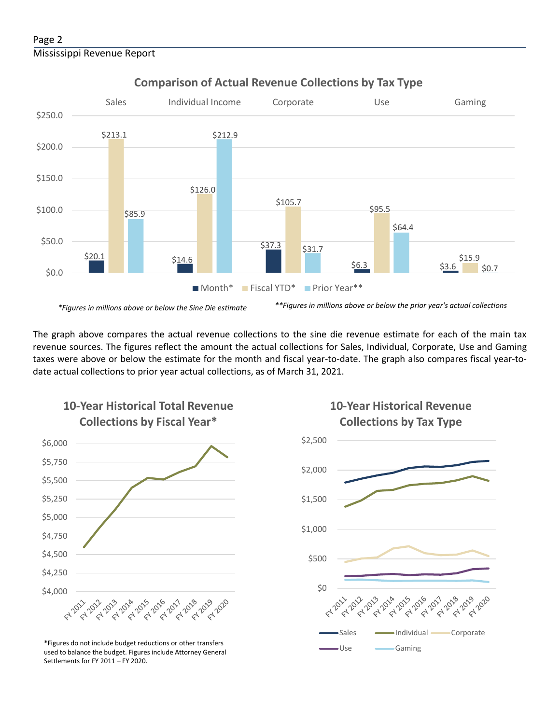#### Page 2 Mississippi Revenue Report



**Comparison of Actual Revenue Collections by Tax Type**

The graph above compares the actual revenue collections to the sine die revenue estimate for each of the main tax revenue sources. The figures reflect the amount the actual collections for Sales, Individual, Corporate, Use and Gaming taxes were above or below the estimate for the month and fiscal year-to-date. The graph also compares fiscal year-todate actual collections to prior year actual collections, as of March 31, 2021.



**10-Year Historical Total Revenue** 

Use Gaming \*Figures do not include budget reductions or other transfers used to balance the budget. Figures include Attorney General Settlements for FY 2011 – FY 2020.

## **10-Year Historical Revenue Collections by Tax Type**

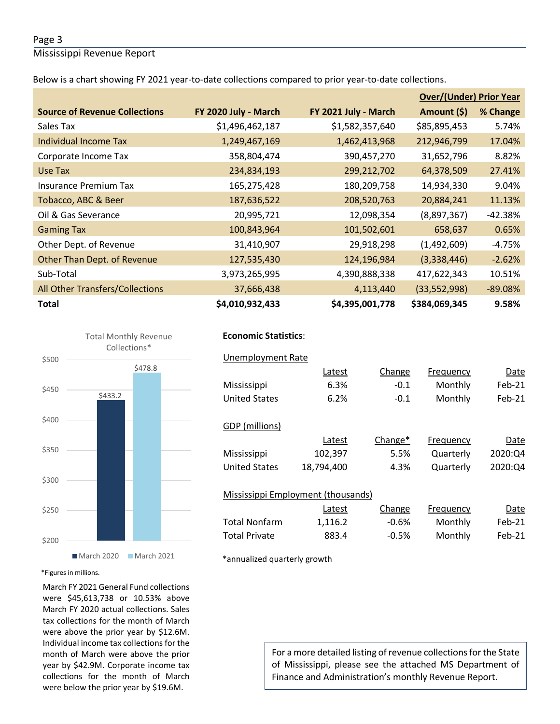#### Page 3

Mississippi Revenue Report

Below is a chart showing FY 2021 year-to-date collections compared to prior year-to-date collections.

|                                        |                      |                      | <b>Over/(Under) Prior Year</b> |           |  |
|----------------------------------------|----------------------|----------------------|--------------------------------|-----------|--|
| <b>Source of Revenue Collections</b>   | FY 2020 July - March | FY 2021 July - March | Amount (\$)                    | % Change  |  |
| Sales Tax                              | \$1,496,462,187      | \$1,582,357,640      | \$85,895,453                   | 5.74%     |  |
| Individual Income Tax                  | 1,249,467,169        | 1,462,413,968        | 212,946,799                    | 17.04%    |  |
| Corporate Income Tax                   | 358,804,474          | 390,457,270          | 31,652,796                     | 8.82%     |  |
| Use Tax                                | 234,834,193          | 299,212,702          | 64,378,509                     | 27.41%    |  |
| Insurance Premium Tax                  | 165,275,428          | 180,209,758          | 14,934,330                     | 9.04%     |  |
| Tobacco, ABC & Beer                    | 187,636,522          | 208,520,763          | 20,884,241                     | 11.13%    |  |
| Oil & Gas Severance                    | 20,995,721           | 12,098,354           | (8,897,367)                    | $-42.38%$ |  |
| <b>Gaming Tax</b>                      | 100,843,964          | 101,502,601          | 658,637                        | 0.65%     |  |
| Other Dept. of Revenue                 | 31,410,907           | 29,918,298           | (1,492,609)                    | $-4.75%$  |  |
| Other Than Dept. of Revenue            | 127,535,430          | 124,196,984          | (3,338,446)                    | $-2.62%$  |  |
| Sub-Total                              | 3,973,265,995        | 4,390,888,338        | 417,622,343                    | 10.51%    |  |
| <b>All Other Transfers/Collections</b> | 37,666,438           | 4,113,440            | (33,552,998)                   | $-89.08%$ |  |
| <b>Total</b>                           | \$4,010,932,433      | \$4,395,001,778      | \$384,069,345                  | 9.58%     |  |



#### **Economic Statistics**:  **Economic Statistics**:

### Unemployment Rate Unemployment Rate Latest Change Frequency Date Latest Change Frequency Date Mississippi 4.9% 0.1 Monthly Mar-19 Mississippi 6.3% -0.1 Monthly Feb-21 102,397 5.5% Quarterly 2020:Q4 United States 18,794,400 4.3% Quarterly 2020:Q4 Mississippi Employment (thousands) Employment (thousands) Employment (thousands) Employment (thousands) Employment ( United States 6.2% -0.1 Monthly Feb-21 GDP (millions) Latest Change\* Frequency Date Mississippi Mississippi Employment (thousands)

|                      | Latest  | Change  | Frequency | Date   |
|----------------------|---------|---------|-----------|--------|
| Total Nonfarm        | 1.116.2 | -0.6%   | Monthly   | Feb-21 |
| <b>Total Private</b> | 883.4   | $-0.5%$ | Monthly   | Feb-21 |

\*annualized quarterly growth

\*Figures in millions.

March FY 2021 General Fund collections were \$45,613,738 or 10.53% above March FY 2020 actual collections. Sales tax collections for the month of March were above the prior year by \$12.6M. Individual income tax collections for the month of March were above the prior year by \$42.9M. Corporate income tax collections for the month of March were below the prior year by \$19.6M.

For a more detailed listing of revenue collections for the State of Mississippi, please see the attached MS Department of Finance and Administration's monthly Revenue Report.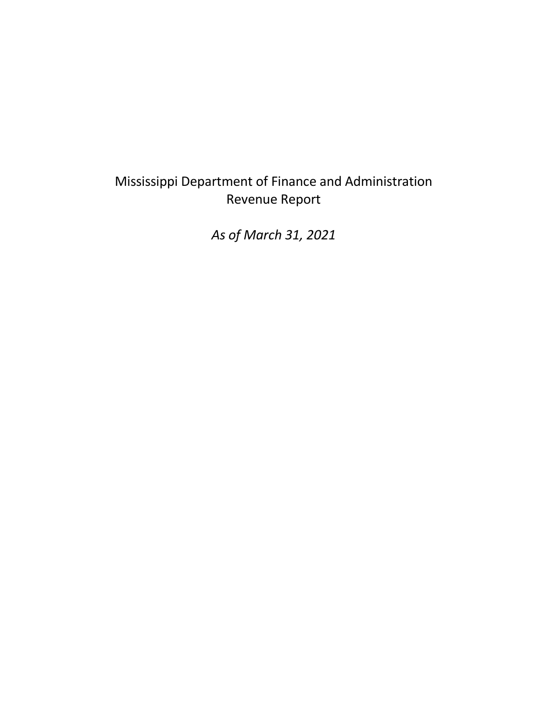## Mississippi Department of Finance and Administration Revenue Report

*As of March 31, 2021*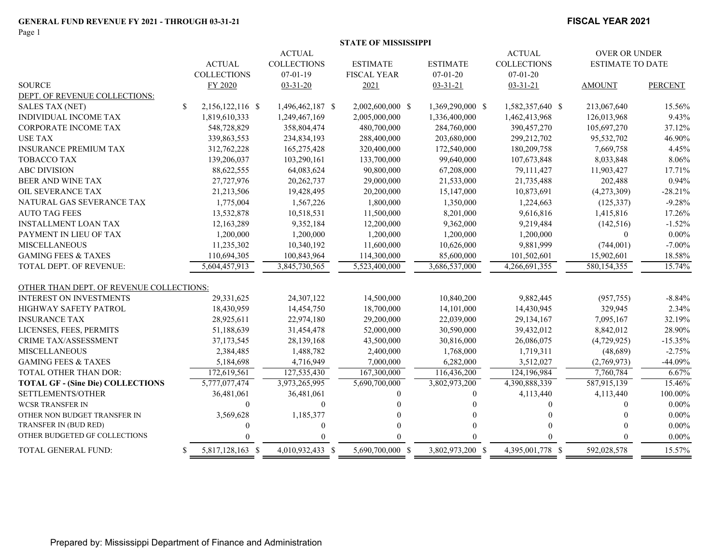#### **FISCAL YEAR 2021**

|                                          |    |                    |                    | <b>STATE OF MISSISSIPPI</b> |                  |                    |                         |                |
|------------------------------------------|----|--------------------|--------------------|-----------------------------|------------------|--------------------|-------------------------|----------------|
|                                          |    |                    | <b>ACTUAL</b>      |                             |                  | <b>ACTUAL</b>      | <b>OVER OR UNDER</b>    |                |
|                                          |    | <b>ACTUAL</b>      | <b>COLLECTIONS</b> | <b>ESTIMATE</b>             | <b>ESTIMATE</b>  | <b>COLLECTIONS</b> | <b>ESTIMATE TO DATE</b> |                |
|                                          |    | <b>COLLECTIONS</b> | $07-01-19$         | <b>FISCAL YEAR</b>          | $07 - 01 - 20$   | $07 - 01 - 20$     |                         |                |
| <b>SOURCE</b>                            |    | FY 2020            | $03 - 31 - 20$     | 2021                        | $03 - 31 - 21$   | $03 - 31 - 21$     | <b>AMOUNT</b>           | <b>PERCENT</b> |
| DEPT. OF REVENUE COLLECTIONS:            |    |                    |                    |                             |                  |                    |                         |                |
| <b>SALES TAX (NET)</b>                   | \$ | 2,156,122,116 \$   | 1,496,462,187 \$   | 2,002,600,000 \$            | 1,369,290,000 \$ | 1,582,357,640 \$   | 213,067,640             | 15.56%         |
| INDIVIDUAL INCOME TAX                    |    | 1,819,610,333      | 1,249,467,169      | 2,005,000,000               | 1,336,400,000    | 1,462,413,968      | 126,013,968             | 9.43%          |
| <b>CORPORATE INCOME TAX</b>              |    | 548,728,829        | 358,804,474        | 480,700,000                 | 284,760,000      | 390,457,270        | 105,697,270             | 37.12%         |
| USE TAX                                  |    | 339,863,553        | 234,834,193        | 288,400,000                 | 203,680,000      | 299,212,702        | 95,532,702              | 46.90%         |
| <b>INSURANCE PREMIUM TAX</b>             |    | 312,762,228        | 165,275,428        | 320,400,000                 | 172,540,000      | 180,209,758        | 7,669,758               | 4.45%          |
| <b>TOBACCO TAX</b>                       |    | 139,206,037        | 103,290,161        | 133,700,000                 | 99,640,000       | 107,673,848        | 8,033,848               | 8.06%          |
| <b>ABC DIVISION</b>                      |    | 88,622,555         | 64,083,624         | 90,800,000                  | 67,208,000       | 79,111,427         | 11,903,427              | 17.71%         |
| <b>BEER AND WINE TAX</b>                 |    | 27,727,976         | 20,262,737         | 29,000,000                  | 21,533,000       | 21,735,488         | 202,488                 | 0.94%          |
| OIL SEVERANCE TAX                        |    | 21,213,506         | 19,428,495         | 20,200,000                  | 15,147,000       | 10,873,691         | (4,273,309)             | $-28.21%$      |
| NATURAL GAS SEVERANCE TAX                |    | 1,775,004          | 1,567,226          | 1,800,000                   | 1,350,000        | 1,224,663          | (125, 337)              | $-9.28%$       |
| <b>AUTO TAG FEES</b>                     |    | 13,532,878         | 10,518,531         | 11,500,000                  | 8,201,000        | 9,616,816          | 1,415,816               | 17.26%         |
| <b>INSTALLMENT LOAN TAX</b>              |    | 12,163,289         | 9,352,184          | 12,200,000                  | 9,362,000        | 9,219,484          | (142, 516)              | $-1.52%$       |
| PAYMENT IN LIEU OF TAX                   |    | 1,200,000          | 1,200,000          | 1,200,000                   | 1,200,000        | 1,200,000          | $\theta$                | $0.00\%$       |
| <b>MISCELLANEOUS</b>                     |    | 11,235,302         | 10,340,192         | 11,600,000                  | 10,626,000       | 9,881,999          | (744,001)               | $-7.00\%$      |
| <b>GAMING FEES &amp; TAXES</b>           |    | 110,694,305        | 100,843,964        | 114,300,000                 | 85,600,000       | 101,502,601        | 15,902,601              | 18.58%         |
| <b>TOTAL DEPT. OF REVENUE:</b>           |    | 5,604,457,913      | 3,845,730,565      | 5,523,400,000               | 3,686,537,000    | 4,266,691,355      | 580,154,355             | 15.74%         |
| OTHER THAN DEPT. OF REVENUE COLLECTIONS: |    |                    |                    |                             |                  |                    |                         |                |
| <b>INTEREST ON INVESTMENTS</b>           |    | 29,331,625         | 24,307,122         | 14,500,000                  | 10,840,200       | 9,882,445          | (957, 755)              | $-8.84%$       |
| HIGHWAY SAFETY PATROL                    |    | 18,430,959         | 14,454,750         | 18,700,000                  | 14,101,000       | 14,430,945         | 329,945                 | 2.34%          |
| <b>INSURANCE TAX</b>                     |    | 28,925,611         | 22,974,180         | 29,200,000                  | 22,039,000       | 29,134,167         | 7,095,167               | 32.19%         |
| LICENSES, FEES, PERMITS                  |    | 51,188,639         | 31,454,478         | 52,000,000                  | 30,590,000       | 39,432,012         | 8,842,012               | 28.90%         |
| <b>CRIME TAX/ASSESSMENT</b>              |    | 37,173,545         | 28,139,168         | 43,500,000                  | 30,816,000       | 26,086,075         | (4,729,925)             | $-15.35%$      |
| <b>MISCELLANEOUS</b>                     |    | 2,384,485          | 1,488,782          | 2,400,000                   | 1,768,000        | 1,719,311          | (48,689)                | $-2.75%$       |
| <b>GAMING FEES &amp; TAXES</b>           |    | 5,184,698          | 4,716,949          | 7,000,000                   | 6,282,000        | 3,512,027          | (2,769,973)             | -44.09%        |
| TOTAL OTHER THAN DOR:                    |    | 172,619,561        | 127,535,430        | 167,300,000                 | 116,436,200      | 124,196,984        | 7,760,784               | 6.67%          |
| <b>TOTAL GF - (Sine Die) COLLECTIONS</b> |    | 5,777,077,474      | 3,973,265,995      | 5,690,700,000               | 3,802,973,200    | 4,390,888,339      | 587,915,139             | 15.46%         |
| SETTLEMENTS/OTHER                        |    | 36,481,061         | 36,481,061         | $\theta$                    | $\theta$         | 4,113,440          | 4,113,440               | 100.00%        |
| <b>WCSR TRANSFER IN</b>                  |    |                    | $\Omega$           |                             |                  | $\Omega$           | 0                       | $0.00\%$       |
| OTHER NON BUDGET TRANSFER IN             |    | 3,569,628          | 1,185,377          |                             |                  | $\Omega$           | 0                       | $0.00\%$       |
| TRANSFER IN (BUD RED)                    |    | $\Omega$           | 0                  |                             |                  | $\Omega$           |                         | $0.00\%$       |
| OTHER BUDGETED GF COLLECTIONS            |    |                    |                    |                             |                  | $\Omega$           |                         | $0.00\%$       |
| TOTAL GENERAL FUND:                      | -S | 5,817,128,163 \$   | 4,010,932,433 \$   | 5,690,700,000 \$            | 3,802,973,200 \$ | 4,395,001,778 \$   | 592,028,578             | 15.57%         |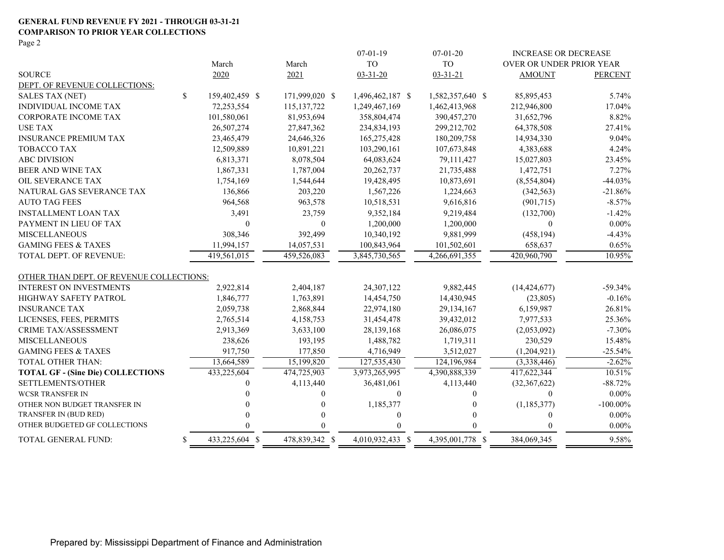#### **GENERAL FUND REVENUE FY 2021 - THROUGH 03-31-21 COMPARISON TO PRIOR YEAR COLLECTIONS**

Page 2

|                                          |    |                |                | $07-01-19$       | $07 - 01 - 20$   | <b>INCREASE OR DECREASE</b>     |                |
|------------------------------------------|----|----------------|----------------|------------------|------------------|---------------------------------|----------------|
|                                          |    | March          | March          | <b>TO</b>        | <b>TO</b>        | <b>OVER OR UNDER PRIOR YEAR</b> |                |
| <b>SOURCE</b>                            |    | 2020           | 2021           | $03 - 31 - 20$   | $03 - 31 - 21$   | <b>AMOUNT</b>                   | <b>PERCENT</b> |
| DEPT. OF REVENUE COLLECTIONS:            |    |                |                |                  |                  |                                 |                |
| SALES TAX (NET)                          | \$ | 159,402,459 \$ | 171,999,020 \$ | 1,496,462,187 \$ | 1,582,357,640 \$ | 85,895,453                      | 5.74%          |
| INDIVIDUAL INCOME TAX                    |    | 72,253,554     | 115, 137, 722  | 1,249,467,169    | 1,462,413,968    | 212,946,800                     | 17.04%         |
| CORPORATE INCOME TAX                     |    | 101,580,061    | 81,953,694     | 358,804,474      | 390,457,270      | 31,652,796                      | 8.82%          |
| <b>USE TAX</b>                           |    | 26,507,274     | 27,847,362     | 234,834,193      | 299,212,702      | 64,378,508                      | 27.41%         |
| <b>INSURANCE PREMIUM TAX</b>             |    | 23,465,479     | 24,646,326     | 165,275,428      | 180,209,758      | 14,934,330                      | 9.04%          |
| <b>TOBACCO TAX</b>                       |    | 12,509,889     | 10,891,221     | 103,290,161      | 107,673,848      | 4,383,688                       | 4.24%          |
| <b>ABC DIVISION</b>                      |    | 6,813,371      | 8,078,504      | 64,083,624       | 79,111,427       | 15,027,803                      | 23.45%         |
| BEER AND WINE TAX                        |    | 1,867,331      | 1,787,004      | 20,262,737       | 21,735,488       | 1,472,751                       | 7.27%          |
| OIL SEVERANCE TAX                        |    | 1,754,169      | 1,544,644      | 19,428,495       | 10,873,691       | (8,554,804)                     | $-44.03%$      |
| NATURAL GAS SEVERANCE TAX                |    | 136,866        | 203,220        | 1,567,226        | 1,224,663        | (342, 563)                      | $-21.86%$      |
| <b>AUTO TAG FEES</b>                     |    | 964,568        | 963,578        | 10,518,531       | 9,616,816        | (901,715)                       | $-8.57\%$      |
| <b>INSTALLMENT LOAN TAX</b>              |    | 3,491          | 23,759         | 9,352,184        | 9,219,484        | (132,700)                       | $-1.42%$       |
| PAYMENT IN LIEU OF TAX                   |    | $\theta$       | $\mathbf{0}$   | 1,200,000        | 1,200,000        | $\theta$                        | $0.00\%$       |
| <b>MISCELLANEOUS</b>                     |    | 308,346        | 392,499        | 10,340,192       | 9,881,999        | (458, 194)                      | $-4.43%$       |
| <b>GAMING FEES &amp; TAXES</b>           |    | 11,994,157     | 14,057,531     | 100,843,964      | 101,502,601      | 658,637                         | 0.65%          |
| <b>TOTAL DEPT. OF REVENUE:</b>           |    | 419,561,015    | 459,526,083    | 3,845,730,565    | 4,266,691,355    | 420,960,790                     | 10.95%         |
| OTHER THAN DEPT. OF REVENUE COLLECTIONS: |    |                |                |                  |                  |                                 |                |
| <b>INTEREST ON INVESTMENTS</b>           |    | 2,922,814      | 2,404,187      | 24,307,122       | 9,882,445        | (14, 424, 677)                  | $-59.34%$      |
| <b>HIGHWAY SAFETY PATROL</b>             |    | 1,846,777      | 1,763,891      | 14,454,750       | 14,430,945       | (23,805)                        | $-0.16%$       |
| <b>INSURANCE TAX</b>                     |    | 2,059,738      | 2,868,844      | 22,974,180       | 29,134,167       | 6,159,987                       | 26.81%         |
| LICENSES, FEES, PERMITS                  |    | 2,765,514      | 4,158,753      | 31,454,478       | 39,432,012       | 7,977,533                       | 25.36%         |
| <b>CRIME TAX/ASSESSMENT</b>              |    | 2,913,369      | 3,633,100      | 28,139,168       | 26,086,075       | (2,053,092)                     | $-7.30%$       |
| <b>MISCELLANEOUS</b>                     |    | 238,626        | 193,195        | 1,488,782        | 1,719,311        | 230,529                         | 15.48%         |
| <b>GAMING FEES &amp; TAXES</b>           |    | 917,750        | 177,850        | 4,716,949        | 3,512,027        | (1,204,921)                     | $-25.54%$      |
| <b>TOTAL OTHER THAN:</b>                 |    | 13,664,589     | 15,199,820     | 127,535,430      | 124,196,984      | (3,338,446)                     | $-2.62%$       |
| <b>TOTAL GF - (Sine Die) COLLECTIONS</b> |    | 433,225,604    | 474,725,903    | 3,973,265,995    | 4,390,888,339    | 417,622,344                     | 10.51%         |
| SETTLEMENTS/OTHER                        |    | 0              | 4,113,440      | 36,481,061       | 4,113,440        | (32,367,622)                    | $-88.72%$      |
| <b>WCSR TRANSFER IN</b>                  |    | 0              | $\Omega$       | $\boldsymbol{0}$ | $\theta$         | $\Omega$                        | $0.00\%$       |
| OTHER NON BUDGET TRANSFER IN             |    | 0              | $\Omega$       | 1,185,377        | 0                | (1,185,377)                     | $-100.00\%$    |
| TRANSFER IN (BUD RED)                    |    | 0              | $\theta$       | $\boldsymbol{0}$ | 0                | $\theta$                        | $0.00\%$       |
| OTHER BUDGETED GF COLLECTIONS            |    |                | $\Omega$       | $\Omega$         |                  | $\Omega$                        | $0.00\%$       |
| TOTAL GENERAL FUND:                      | \$ | 433,225,604 \$ | 478,839,342 \$ | 4,010,932,433 \$ | 4,395,001,778 \$ | 384,069,345                     | 9.58%          |